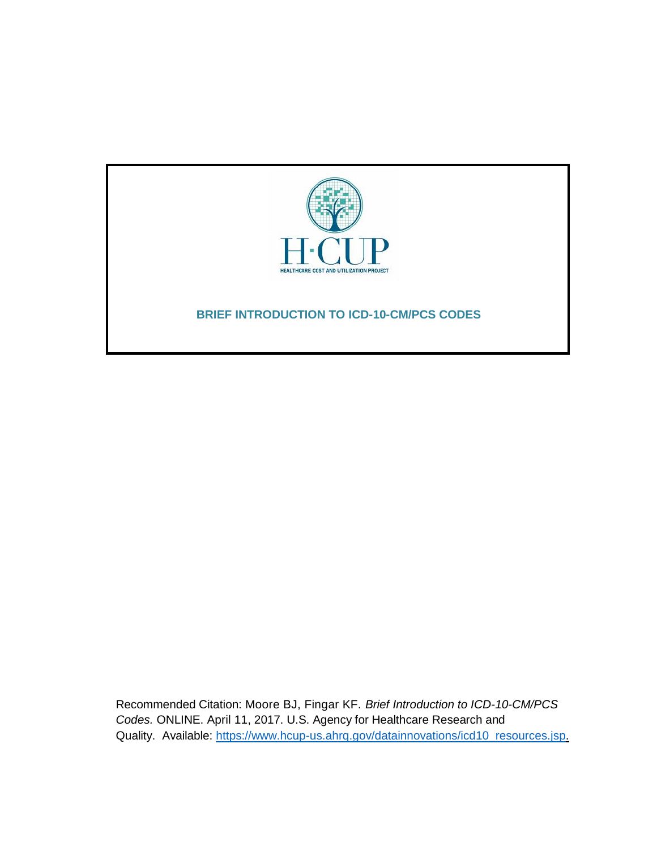

Recommended Citation: Moore BJ, Fingar KF. *Brief Introduction to ICD-10-CM/PCS Codes.* ONLINE. April 11, 2017. U.S. Agency for Healthcare Research and Quality. Available: [https://www.hcup-us.ahrq.gov/datainnovations/icd10\\_resources.jsp.](http://www.hcup-us.ahrq.gov/reports/methods/methods.jsp)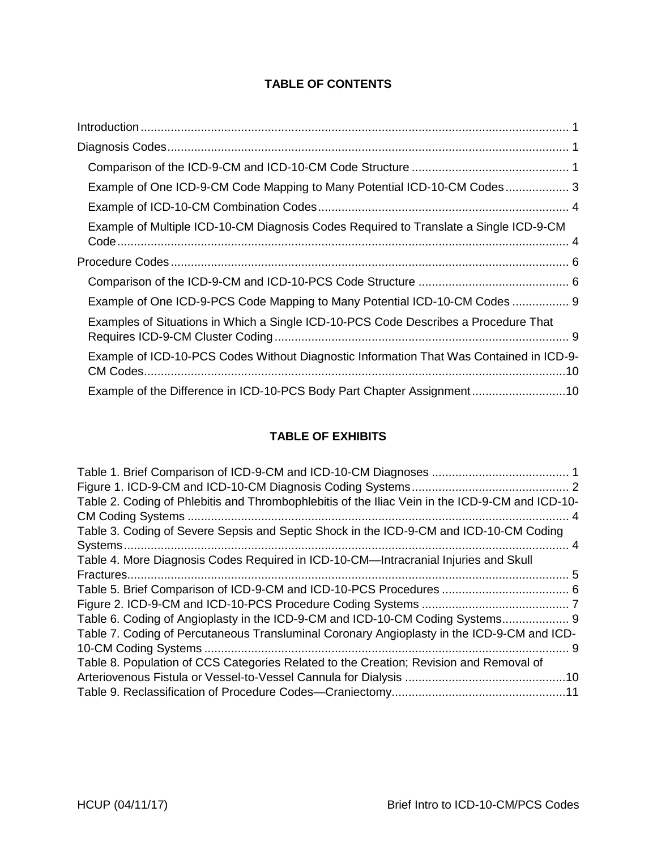# **TABLE OF CONTENTS**

| Example of One ICD-9-CM Code Mapping to Many Potential ICD-10-CM Codes 3                |
|-----------------------------------------------------------------------------------------|
|                                                                                         |
| Example of Multiple ICD-10-CM Diagnosis Codes Required to Translate a Single ICD-9-CM   |
|                                                                                         |
|                                                                                         |
| Example of One ICD-9-PCS Code Mapping to Many Potential ICD-10-CM Codes  9              |
| Examples of Situations in Which a Single ICD-10-PCS Code Describes a Procedure That     |
| Example of ICD-10-PCS Codes Without Diagnostic Information That Was Contained in ICD-9- |
| Example of the Difference in ICD-10-PCS Body Part Chapter Assignment10                  |

# **TABLE OF EXHIBITS**

| Table 2. Coding of Phlebitis and Thrombophlebitis of the Iliac Vein in the ICD-9-CM and ICD-10- |  |
|-------------------------------------------------------------------------------------------------|--|
| . 4                                                                                             |  |
| Table 3. Coding of Severe Sepsis and Septic Shock in the ICD-9-CM and ICD-10-CM Coding          |  |
|                                                                                                 |  |
| Table 4. More Diagnosis Codes Required in ICD-10-CM—Intracranial Injuries and Skull             |  |
|                                                                                                 |  |
|                                                                                                 |  |
|                                                                                                 |  |
| Table 6. Coding of Angioplasty in the ICD-9-CM and ICD-10-CM Coding Systems 9                   |  |
| Table 7. Coding of Percutaneous Transluminal Coronary Angioplasty in the ICD-9-CM and ICD-      |  |
|                                                                                                 |  |
| Table 8. Population of CCS Categories Related to the Creation; Revision and Removal of          |  |
|                                                                                                 |  |
|                                                                                                 |  |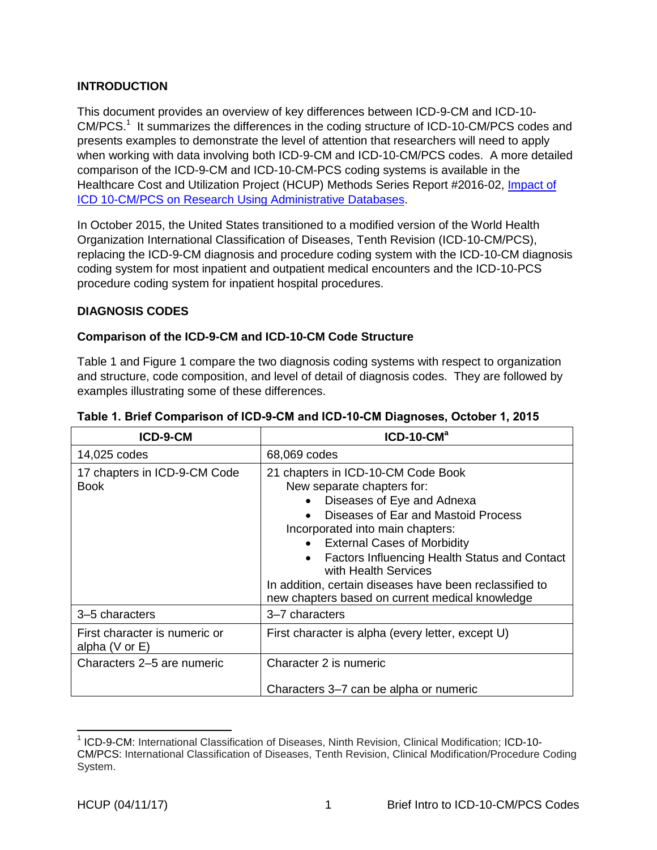### <span id="page-2-0"></span>**INTRODUCTION**

This document provides an overview of key differences between ICD-9-CM and ICD-10- CM/PCS.<sup>1</sup> It summarizes the differences in the coding structure of ICD-10-CM/PCS codes and presents examples to demonstrate the level of attention that researchers will need to apply when working with data involving both ICD-9-CM and ICD-10-CM/PCS codes. A more detailed comparison of the ICD-9-CM and ICD-10-CM-PCS coding systems is available in the Healthcare Cost and Utilization Project (HCUP) Methods Series Report #2016-02, [Impact of](https://www.hcup-us.ahrq.gov/reports/methods/2016-02.pdf)  ICD 10-CM/PCS on Research [Using Administrative Databases.](https://www.hcup-us.ahrq.gov/reports/methods/2016-02.pdf)

In October 2015, the United States transitioned to a modified version of the World Health Organization International Classification of Diseases, Tenth Revision (ICD-10-CM/PCS), replacing the ICD-9-CM diagnosis and procedure coding system with the ICD-10-CM diagnosis coding system for most inpatient and outpatient medical encounters and the ICD-10-PCS procedure coding system for inpatient hospital procedures.

### <span id="page-2-1"></span>**DIAGNOSIS CODES**

### <span id="page-2-2"></span>**Comparison of the ICD-9-CM and ICD-10-CM Code Structure**

Table 1 and Figure 1 compare the two diagnosis coding systems with respect to organization and structure, code composition, and level of detail of diagnosis codes. They are followed by examples illustrating some of these differences.

| ICD-9-CM                                            | $ICD-10-CMa$                                                                                                                                                                                                                                                                                                                                                                                                   |  |
|-----------------------------------------------------|----------------------------------------------------------------------------------------------------------------------------------------------------------------------------------------------------------------------------------------------------------------------------------------------------------------------------------------------------------------------------------------------------------------|--|
| 14,025 codes                                        | 68,069 codes                                                                                                                                                                                                                                                                                                                                                                                                   |  |
| 17 chapters in ICD-9-CM Code<br>Book                | 21 chapters in ICD-10-CM Code Book<br>New separate chapters for:<br>Diseases of Eye and Adnexa<br>Diseases of Ear and Mastoid Process<br>Incorporated into main chapters:<br>• External Cases of Morbidity<br>Factors Influencing Health Status and Contact<br>$\bullet$<br>with Health Services<br>In addition, certain diseases have been reclassified to<br>new chapters based on current medical knowledge |  |
| 3-5 characters                                      | 3-7 characters                                                                                                                                                                                                                                                                                                                                                                                                 |  |
| First character is numeric or<br>alpha $(V$ or $E)$ | First character is alpha (every letter, except U)                                                                                                                                                                                                                                                                                                                                                              |  |
| Characters 2–5 are numeric                          | Character 2 is numeric                                                                                                                                                                                                                                                                                                                                                                                         |  |
|                                                     | Characters 3–7 can be alpha or numeric                                                                                                                                                                                                                                                                                                                                                                         |  |

#### <span id="page-2-3"></span>**Table 1. Brief Comparison of ICD-9-CM and ICD-10-CM Diagnoses, October 1, 2015**

 $\overline{a}$ 

<sup>&</sup>lt;sup>1</sup> ICD-9-CM: International Classification of Diseases, Ninth Revision, Clinical Modification; ICD-10-CM/PCS: International Classification of Diseases, Tenth Revision, Clinical Modification/Procedure Coding System.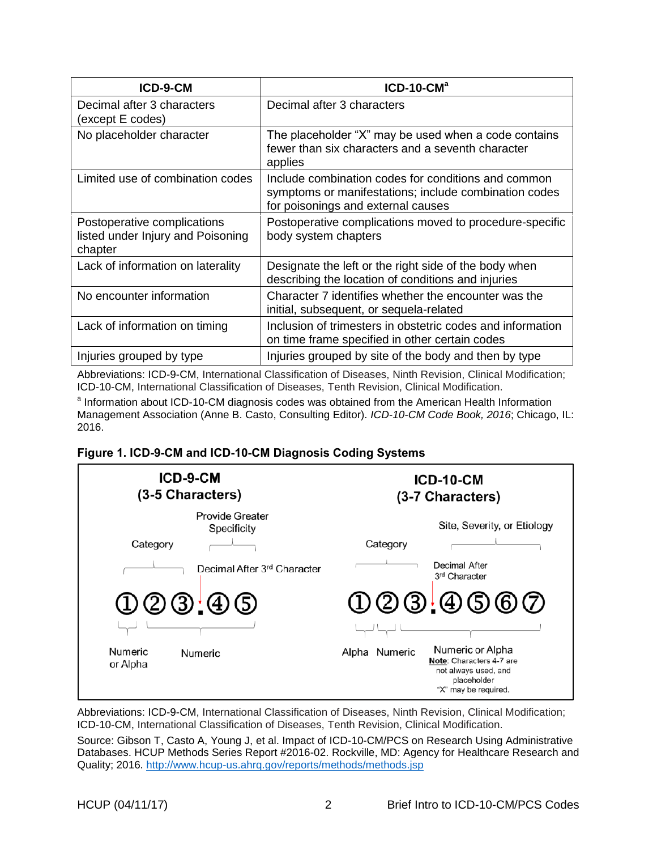| ICD-9-CM                                                                    | $ICD-10-CMa$                                                                                                                                       |
|-----------------------------------------------------------------------------|----------------------------------------------------------------------------------------------------------------------------------------------------|
| Decimal after 3 characters<br>(except E codes)                              | Decimal after 3 characters                                                                                                                         |
| No placeholder character                                                    | The placeholder "X" may be used when a code contains<br>fewer than six characters and a seventh character<br>applies                               |
| Limited use of combination codes                                            | Include combination codes for conditions and common<br>symptoms or manifestations; include combination codes<br>for poisonings and external causes |
| Postoperative complications<br>listed under Injury and Poisoning<br>chapter | Postoperative complications moved to procedure-specific<br>body system chapters                                                                    |
| Lack of information on laterality                                           | Designate the left or the right side of the body when<br>describing the location of conditions and injuries                                        |
| No encounter information                                                    | Character 7 identifies whether the encounter was the<br>initial, subsequent, or sequela-related                                                    |
| Lack of information on timing                                               | Inclusion of trimesters in obstetric codes and information<br>on time frame specified in other certain codes                                       |
| Injuries grouped by type                                                    | Injuries grouped by site of the body and then by type                                                                                              |

Abbreviations: ICD-9-CM, International Classification of Diseases, Ninth Revision, Clinical Modification; ICD-10-CM, International Classification of Diseases, Tenth Revision, Clinical Modification.

<sup>a</sup> Information about ICD-10-CM diagnosis codes was obtained from the American Health Information Management Association (Anne B. Casto, Consulting Editor). *ICD-10-CM Code Book, 2016*; Chicago, IL: 2016.

### <span id="page-3-0"></span>**Figure 1. ICD-9-CM and ICD-10-CM Diagnosis Coding Systems**



Abbreviations: ICD-9-CM, International Classification of Diseases, Ninth Revision, Clinical Modification; ICD-10-CM, International Classification of Diseases, Tenth Revision, Clinical Modification.

Source: Gibson T, Casto A, Young J, et al. Impact of ICD-10-CM/PCS on Research Using Administrative Databases. HCUP Methods Series Report #2016-02. Rockville, MD: Agency for Healthcare Research and Quality; 2016. <http://www.hcup-us.ahrq.gov/reports/methods/methods.jsp>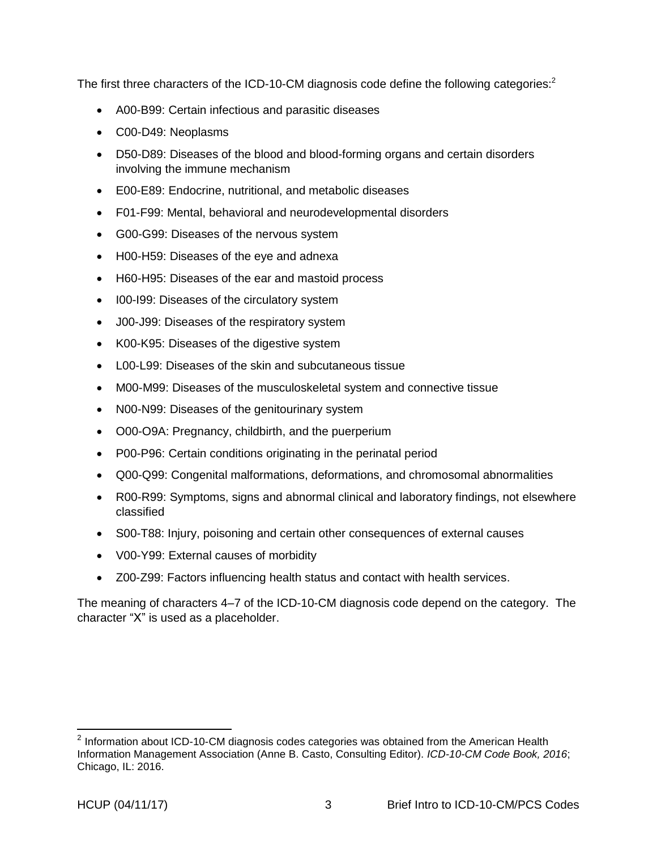<span id="page-4-0"></span>The first three characters of the ICD-10-CM diagnosis code define the following categories:<sup>2</sup>

- A00-B99: Certain infectious and parasitic diseases
- C00-D49: Neoplasms
- D50-D89: Diseases of the blood and blood-forming organs and certain disorders involving the immune mechanism
- E00-E89: Endocrine, nutritional, and metabolic diseases
- F01-F99: Mental, behavioral and neurodevelopmental disorders
- G00-G99: Diseases of the nervous system
- H00-H59: Diseases of the eye and adnexa
- H60-H95: Diseases of the ear and mastoid process
- I00-I99: Diseases of the circulatory system
- J00-J99: Diseases of the respiratory system
- K00-K95: Diseases of the digestive system
- L00-L99: Diseases of the skin and subcutaneous tissue
- M00-M99: Diseases of the musculoskeletal system and connective tissue
- N00-N99: Diseases of the genitourinary system
- O00-O9A: Pregnancy, childbirth, and the puerperium
- P00-P96: Certain conditions originating in the perinatal period
- Q00-Q99: Congenital malformations, deformations, and chromosomal abnormalities
- R00-R99: Symptoms, signs and abnormal clinical and laboratory findings, not elsewhere classified
- S00-T88: Injury, poisoning and certain other consequences of external causes
- V00-Y99: External causes of morbidity
- Z00-Z99: Factors influencing health status and contact with health services.

The meaning of characters 4–7 of the ICD-10-CM diagnosis code depend on the category. The character "X" is used as a placeholder.

 $\overline{a}$ 

 $2$  Information about ICD-10-CM diagnosis codes categories was obtained from the American Health Information Management Association (Anne B. Casto, Consulting Editor). *ICD-10-CM Code Book, 2016*; Chicago, IL: 2016.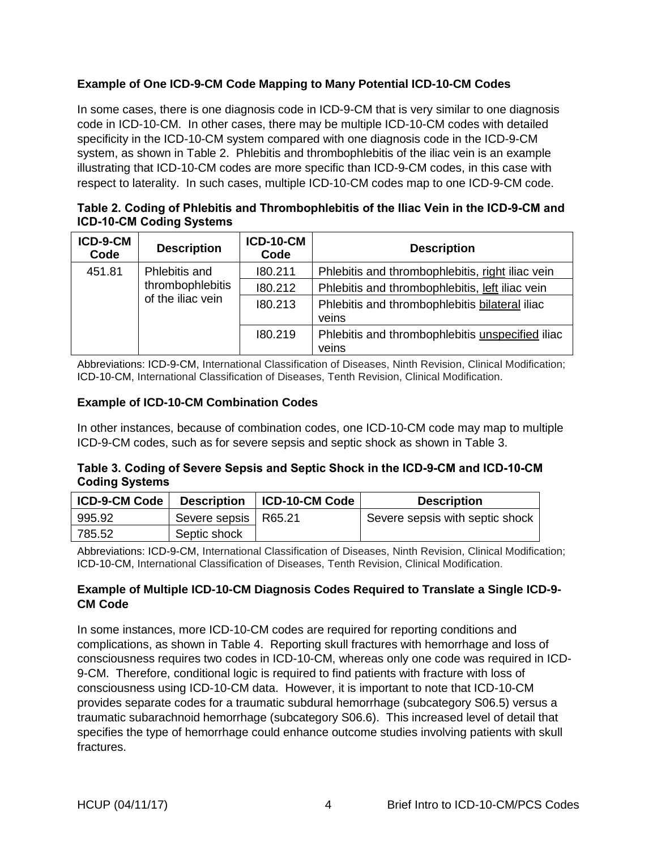# **Example of One ICD-9-CM Code Mapping to Many Potential ICD-10-CM Codes**

In some cases, there is one diagnosis code in ICD-9-CM that is very similar to one diagnosis code in ICD-10-CM. In other cases, there may be multiple ICD-10-CM codes with detailed specificity in the ICD-10-CM system compared with one diagnosis code in the ICD-9-CM system, as shown in Table 2. Phlebitis and thrombophlebitis of the iliac vein is an example illustrating that ICD-10-CM codes are more specific than ICD-9-CM codes, in this case with respect to laterality. In such cases, multiple ICD-10-CM codes map to one ICD-9-CM code.

<span id="page-5-2"></span>**Table 2. Coding of Phlebitis and Thrombophlebitis of the Iliac Vein in the ICD-9-CM and ICD-10-CM Coding Systems**

| ICD-9-CM<br>Code                                                 | <b>Description</b> | <b>ICD-10-CM</b><br>Code                                | <b>Description</b>                                        |
|------------------------------------------------------------------|--------------------|---------------------------------------------------------|-----------------------------------------------------------|
| 451.81<br>Phlebitis and<br>thrombophlebitis<br>of the iliac vein |                    | 180.211                                                 | Phlebitis and thrombophlebitis, right iliac vein          |
|                                                                  | 180.212            | Phlebitis and thrombophlebitis, left iliac vein         |                                                           |
|                                                                  | 180.213            | Phlebitis and thrombophlebitis bilateral iliac<br>veins |                                                           |
|                                                                  |                    | 180.219                                                 | Phlebitis and thrombophlebitis unspecified iliac<br>veins |

Abbreviations: ICD-9-CM, International Classification of Diseases, Ninth Revision, Clinical Modification; ICD-10-CM, International Classification of Diseases, Tenth Revision, Clinical Modification.

### <span id="page-5-0"></span>**Example of ICD-10-CM Combination Codes**

In other instances, because of combination codes, one ICD-10-CM code may map to multiple ICD-9-CM codes, such as for severe sepsis and septic shock as shown in Table 3.

### <span id="page-5-3"></span>**Table 3. Coding of Severe Sepsis and Septic Shock in the ICD-9-CM and ICD-10-CM Coding Systems**

| <b>ICD-9-CM Code</b> | <b>Description</b>     | ICD-10-CM Code | <b>Description</b>              |
|----------------------|------------------------|----------------|---------------------------------|
| 995.92               | Severe sepsis   R65.21 |                | Severe sepsis with septic shock |
| 785.52               | Septic shock           |                |                                 |

Abbreviations: ICD-9-CM, International Classification of Diseases, Ninth Revision, Clinical Modification; ICD-10-CM, International Classification of Diseases, Tenth Revision, Clinical Modification.

### <span id="page-5-1"></span>**Example of Multiple ICD-10-CM Diagnosis Codes Required to Translate a Single ICD-9- CM Code**

In some instances, more ICD-10-CM codes are required for reporting conditions and complications, as shown in Table 4. Reporting skull fractures with hemorrhage and loss of consciousness requires two codes in ICD-10-CM, whereas only one code was required in ICD-9-CM. Therefore, conditional logic is required to find patients with fracture with loss of consciousness using ICD-10-CM data. However, it is important to note that ICD-10-CM provides separate codes for a traumatic subdural hemorrhage (subcategory S06.5) versus a traumatic subarachnoid hemorrhage (subcategory S06.6). This increased level of detail that specifies the type of hemorrhage could enhance outcome studies involving patients with skull fractures.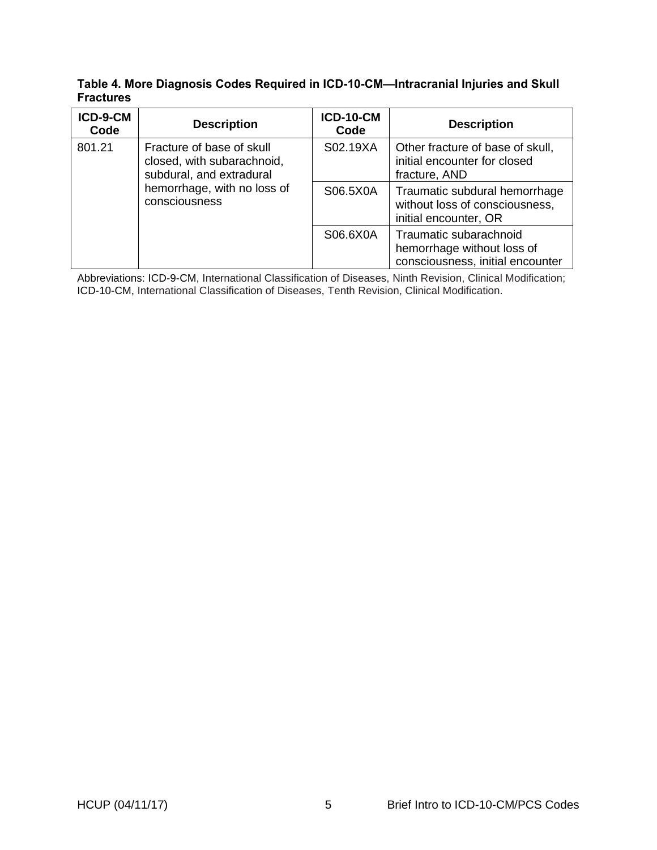### <span id="page-6-1"></span>**Table 4. More Diagnosis Codes Required in ICD-10-CM—Intracranial Injuries and Skull Fractures**

| ICD-9-CM<br>Code                                                                                                                              | <b>Description</b> | <b>ICD-10-CM</b><br>Code                                                                 | <b>Description</b>                                                                       |
|-----------------------------------------------------------------------------------------------------------------------------------------------|--------------------|------------------------------------------------------------------------------------------|------------------------------------------------------------------------------------------|
| 801.21<br>Fracture of base of skull<br>closed, with subarachnoid,<br>subdural, and extradural<br>hemorrhage, with no loss of<br>consciousness | S02.19XA           | Other fracture of base of skull,<br>initial encounter for closed<br>fracture, AND        |                                                                                          |
|                                                                                                                                               | S06.5X0A           | Traumatic subdural hemorrhage<br>without loss of consciousness,<br>initial encounter, OR |                                                                                          |
|                                                                                                                                               |                    | S06.6X0A                                                                                 | Traumatic subarachnoid<br>hemorrhage without loss of<br>consciousness, initial encounter |

<span id="page-6-0"></span>Abbreviations: ICD-9-CM, International Classification of Diseases, Ninth Revision, Clinical Modification; ICD-10-CM, International Classification of Diseases, Tenth Revision, Clinical Modification.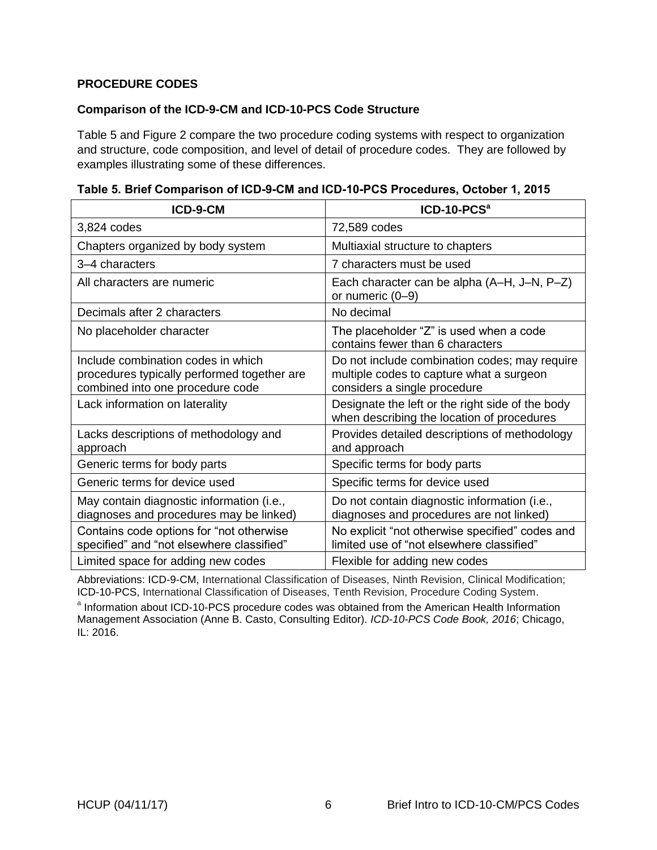### **PROCEDURE CODES**

### <span id="page-7-0"></span>**Comparison of the ICD-9-CM and ICD-10-PCS Code Structure**

Table 5 and Figure 2 compare the two procedure coding systems with respect to organization and structure, code composition, and level of detail of procedure codes. They are followed by examples illustrating some of these differences.

| ICD-9-CM                                                                                                              | ICD-10-PCS <sup>a</sup>                                                                                                   |
|-----------------------------------------------------------------------------------------------------------------------|---------------------------------------------------------------------------------------------------------------------------|
| 3,824 codes                                                                                                           | 72,589 codes                                                                                                              |
| Chapters organized by body system                                                                                     | Multiaxial structure to chapters                                                                                          |
| 3–4 characters                                                                                                        | 7 characters must be used                                                                                                 |
| All characters are numeric                                                                                            | Each character can be alpha (A–H, J–N, P–Z)<br>or numeric $(0-9)$                                                         |
| Decimals after 2 characters                                                                                           | No decimal                                                                                                                |
| No placeholder character                                                                                              | The placeholder "Z" is used when a code<br>contains fewer than 6 characters                                               |
| Include combination codes in which<br>procedures typically performed together are<br>combined into one procedure code | Do not include combination codes; may require<br>multiple codes to capture what a surgeon<br>considers a single procedure |
| Lack information on laterality                                                                                        | Designate the left or the right side of the body<br>when describing the location of procedures                            |
| Lacks descriptions of methodology and<br>approach                                                                     | Provides detailed descriptions of methodology<br>and approach                                                             |
| Generic terms for body parts                                                                                          | Specific terms for body parts                                                                                             |
| Generic terms for device used                                                                                         | Specific terms for device used                                                                                            |
| May contain diagnostic information (i.e.,<br>diagnoses and procedures may be linked)                                  | Do not contain diagnostic information (i.e.,<br>diagnoses and procedures are not linked)                                  |
| Contains code options for "not otherwise<br>specified" and "not elsewhere classified"                                 | No explicit "not otherwise specified" codes and<br>limited use of "not elsewhere classified"                              |
| Limited space for adding new codes                                                                                    | Flexible for adding new codes                                                                                             |

<span id="page-7-1"></span>

| Table 5. Brief Comparison of ICD-9-CM and ICD-10-PCS Procedures, October 1, 2015 |  |  |
|----------------------------------------------------------------------------------|--|--|
|                                                                                  |  |  |

Abbreviations: ICD-9-CM, International Classification of Diseases, Ninth Revision, Clinical Modification; ICD-10-PCS, International Classification of Diseases, Tenth Revision, Procedure Coding System.

<sup>a</sup> Information about ICD-10-PCS procedure codes was obtained from the American Health Information Management Association (Anne B. Casto, Consulting Editor). *ICD-10-PCS Code Book, 2016*; Chicago, IL: 2016.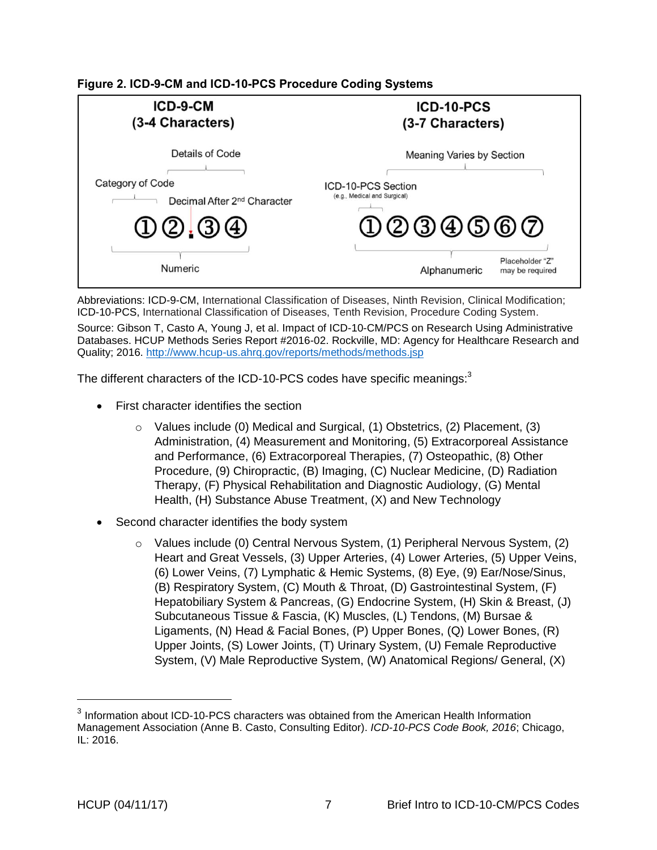<span id="page-8-0"></span>**Figure 2. ICD-9-CM and ICD-10-PCS Procedure Coding Systems**



Abbreviations: ICD-9-CM, International Classification of Diseases, Ninth Revision, Clinical Modification; ICD-10-PCS, International Classification of Diseases, Tenth Revision, Procedure Coding System. Source: Gibson T, Casto A, Young J, et al. Impact of ICD-10-CM/PCS on Research Using Administrative Databases. HCUP Methods Series Report #2016-02. Rockville, MD: Agency for Healthcare Research and Quality; 2016. <http://www.hcup-us.ahrq.gov/reports/methods/methods.jsp>

The different characters of the ICD-10-PCS codes have specific meanings:<sup>3</sup>

- First character identifies the section
	- o Values include (0) Medical and Surgical, (1) Obstetrics, (2) Placement, (3) Administration, (4) Measurement and Monitoring, (5) Extracorporeal Assistance and Performance, (6) Extracorporeal Therapies, (7) Osteopathic, (8) Other Procedure, (9) Chiropractic, (B) Imaging, (C) Nuclear Medicine, (D) Radiation Therapy, (F) Physical Rehabilitation and Diagnostic Audiology, (G) Mental Health, (H) Substance Abuse Treatment, (X) and New Technology
- Second character identifies the body system
	- o Values include (0) Central Nervous System, (1) Peripheral Nervous System, (2) Heart and Great Vessels, (3) Upper Arteries, (4) Lower Arteries, (5) Upper Veins, (6) Lower Veins, (7) Lymphatic & Hemic Systems, (8) Eye, (9) Ear/Nose/Sinus, (B) Respiratory System, (C) Mouth & Throat, (D) Gastrointestinal System, (F) Hepatobiliary System & Pancreas, (G) Endocrine System, (H) Skin & Breast, (J) Subcutaneous Tissue & Fascia, (K) Muscles, (L) Tendons, (M) Bursae & Ligaments, (N) Head & Facial Bones, (P) Upper Bones, (Q) Lower Bones, (R) Upper Joints, (S) Lower Joints, (T) Urinary System, (U) Female Reproductive System, (V) Male Reproductive System, (W) Anatomical Regions/ General, (X)

 $3$  Information about ICD-10-PCS characters was obtained from the American Health Information Management Association (Anne B. Casto, Consulting Editor). *ICD-10-PCS Code Book, 2016*; Chicago, IL: 2016.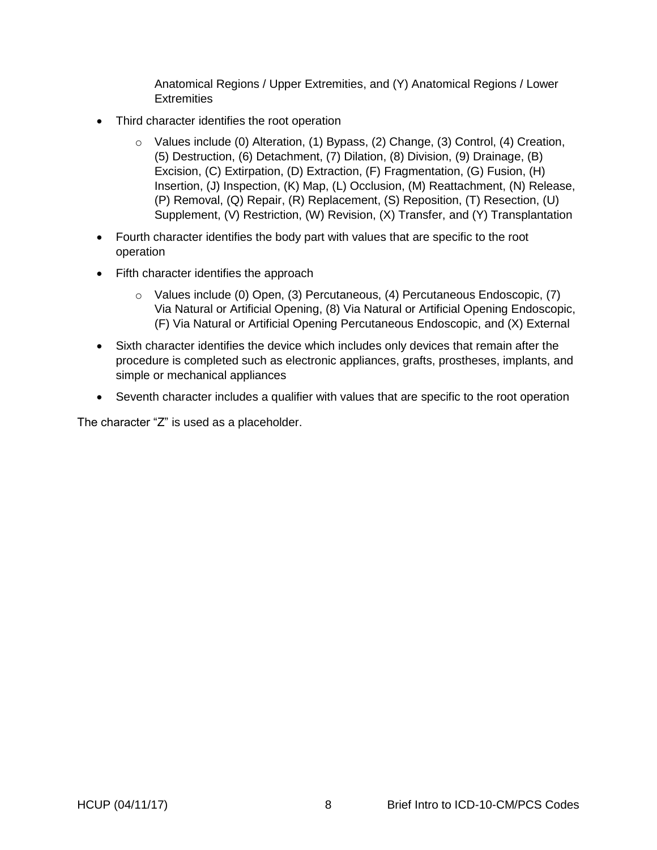Anatomical Regions / Upper Extremities, and (Y) Anatomical Regions / Lower **Extremities** 

- Third character identifies the root operation
	- o Values include (0) Alteration, (1) Bypass, (2) Change, (3) Control, (4) Creation, (5) Destruction, (6) Detachment, (7) Dilation, (8) Division, (9) Drainage, (B) Excision, (C) Extirpation, (D) Extraction, (F) Fragmentation, (G) Fusion, (H) Insertion, (J) Inspection, (K) Map, (L) Occlusion, (M) Reattachment, (N) Release, (P) Removal, (Q) Repair, (R) Replacement, (S) Reposition, (T) Resection, (U) Supplement, (V) Restriction, (W) Revision, (X) Transfer, and (Y) Transplantation
- Fourth character identifies the body part with values that are specific to the root operation
- Fifth character identifies the approach
	- o Values include (0) Open, (3) Percutaneous, (4) Percutaneous Endoscopic, (7) Via Natural or Artificial Opening, (8) Via Natural or Artificial Opening Endoscopic, (F) Via Natural or Artificial Opening Percutaneous Endoscopic, and (X) External
- Sixth character identifies the device which includes only devices that remain after the procedure is completed such as electronic appliances, grafts, prostheses, implants, and simple or mechanical appliances
- Seventh character includes a qualifier with values that are specific to the root operation

The character "Z" is used as a placeholder.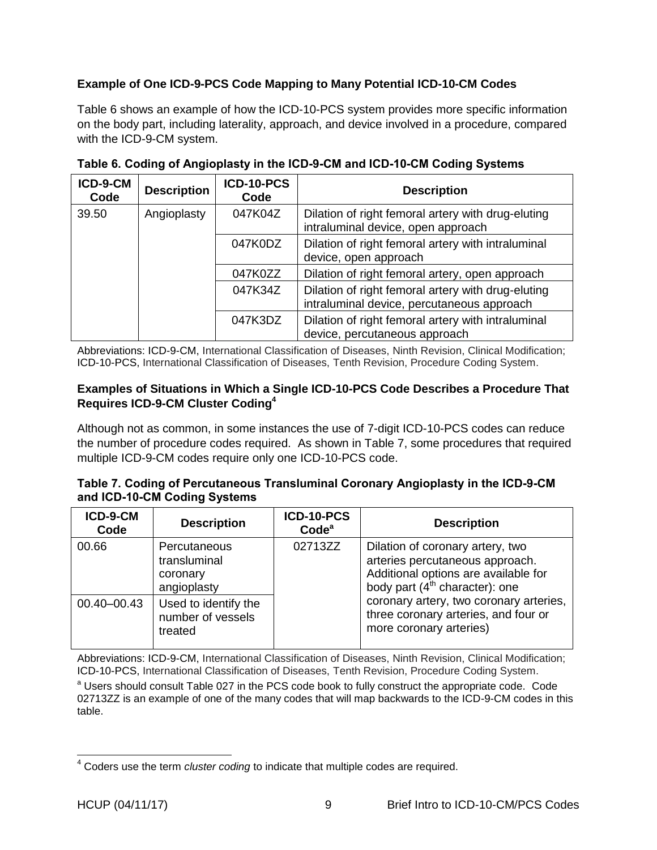# <span id="page-10-0"></span>**Example of One ICD-9-PCS Code Mapping to Many Potential ICD-10-CM Codes**

Table 6 shows an example of how the ICD-10-PCS system provides more specific information on the body part, including laterality, approach, and device involved in a procedure, compared with the ICD-9-CM system.

| ICD-9-CM<br>Code | <b>Description</b> | ICD-10-PCS<br>Code | <b>Description</b>                                                                               |
|------------------|--------------------|--------------------|--------------------------------------------------------------------------------------------------|
| 39.50            | Angioplasty        | 047K04Z            | Dilation of right femoral artery with drug-eluting<br>intraluminal device, open approach         |
|                  |                    | 047K0DZ            | Dilation of right femoral artery with intraluminal<br>device, open approach                      |
|                  |                    | 047K0ZZ            | Dilation of right femoral artery, open approach                                                  |
|                  |                    | 047K34Z            | Dilation of right femoral artery with drug-eluting<br>intraluminal device, percutaneous approach |
|                  |                    | 047K3DZ            | Dilation of right femoral artery with intraluminal<br>device, percutaneous approach              |

<span id="page-10-2"></span>**Table 6. Coding of Angioplasty in the ICD-9-CM and ICD-10-CM Coding Systems**

Abbreviations: ICD-9-CM, International Classification of Diseases, Ninth Revision, Clinical Modification; ICD-10-PCS, International Classification of Diseases, Tenth Revision, Procedure Coding System.

### <span id="page-10-1"></span>**Examples of Situations in Which a Single ICD-10-PCS Code Describes a Procedure That Requires ICD-9-CM Cluster Coding<sup>4</sup>**

Although not as common, in some instances the use of 7-digit ICD-10-PCS codes can reduce the number of procedure codes required. As shown in Table 7, some procedures that required multiple ICD-9-CM codes require only one ICD-10-PCS code.

<span id="page-10-3"></span>

|                              | Table 7. Coding of Percutaneous Transluminal Coronary Angioplasty in the ICD-9-CM |  |
|------------------------------|-----------------------------------------------------------------------------------|--|
| and ICD-10-CM Coding Systems |                                                                                   |  |

| ICD-9-CM<br>Code | <b>Description</b>                                      | ICD-10-PCS<br>Code <sup>a</sup> | <b>Description</b>                                                                                                                              |
|------------------|---------------------------------------------------------|---------------------------------|-------------------------------------------------------------------------------------------------------------------------------------------------|
| 00.66            | Percutaneous<br>transluminal<br>coronary<br>angioplasty | 02713ZZ                         | Dilation of coronary artery, two<br>arteries percutaneous approach.<br>Additional options are available for<br>body part $(4th$ character): one |
| 00.40-00.43      | Used to identify the<br>number of vessels<br>treated    |                                 | coronary artery, two coronary arteries,<br>three coronary arteries, and four or<br>more coronary arteries)                                      |

Abbreviations: ICD-9-CM, International Classification of Diseases, Ninth Revision, Clinical Modification; ICD-10-PCS, International Classification of Diseases, Tenth Revision, Procedure Coding System.

<sup>a</sup> Users should consult Table 027 in the PCS code book to fully construct the appropriate code. Code 02713ZZ is an example of one of the many codes that will map backwards to the ICD-9-CM codes in this table.

j <sup>4</sup> Coders use the term *cluster coding* to indicate that multiple codes are required.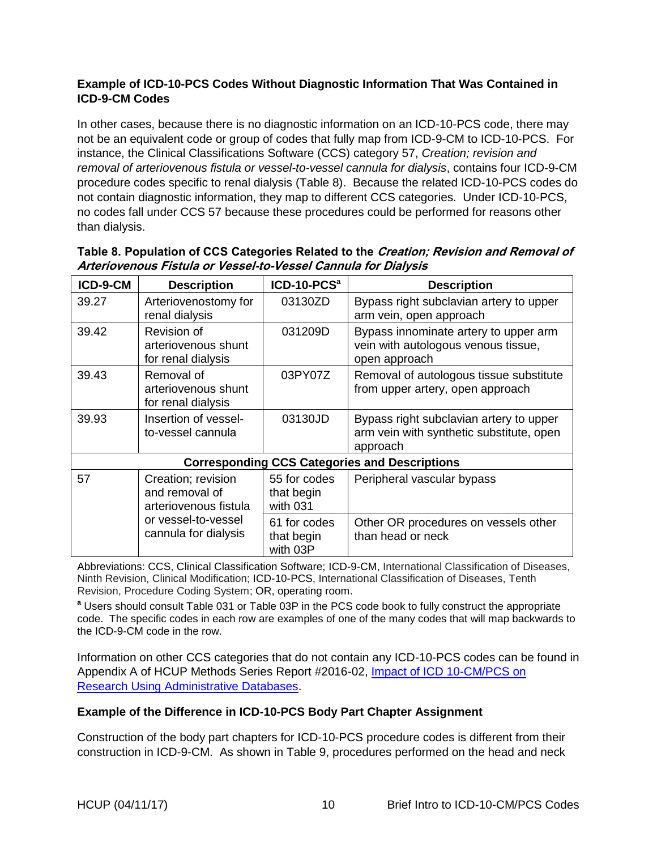# <span id="page-11-0"></span>**Example of ICD-10-PCS Codes Without Diagnostic Information That Was Contained in ICD-9-CM Codes**

In other cases, because there is no diagnostic information on an ICD-10-PCS code, there may not be an equivalent code or group of codes that fully map from ICD-9-CM to ICD-10-PCS. For instance, the Clinical Classifications Software (CCS) category 57, *Creation; revision and removal of arteriovenous fistula or vessel-to-vessel cannula for dialysis*, contains four ICD-9-CM procedure codes specific to renal dialysis (Table 8). Because the related ICD-10-PCS codes do not contain diagnostic information, they map to different CCS categories. Under ICD-10-PCS, no codes fall under CCS 57 because these procedures could be performed for reasons other than dialysis.

| ICD-9-CM                                             | <b>Description</b>                                                                                           | ICD-10-PCS <sup>a</sup>                | <b>Description</b>                                                                              |  |  |  |  |
|------------------------------------------------------|--------------------------------------------------------------------------------------------------------------|----------------------------------------|-------------------------------------------------------------------------------------------------|--|--|--|--|
| 39.27                                                | Arteriovenostomy for<br>renal dialysis                                                                       | 03130ZD                                | Bypass right subclavian artery to upper<br>arm vein, open approach                              |  |  |  |  |
| 39.42                                                | Revision of<br>arteriovenous shunt<br>for renal dialysis                                                     | 031209D                                | Bypass innominate artery to upper arm<br>vein with autologous venous tissue,<br>open approach   |  |  |  |  |
| 39.43                                                | Removal of<br>arteriovenous shunt<br>for renal dialysis                                                      | 03PY07Z                                | Removal of autologous tissue substitute<br>from upper artery, open approach                     |  |  |  |  |
| 39.93                                                | Insertion of vessel-<br>to-vessel cannula                                                                    | 03130JD                                | Bypass right subclavian artery to upper<br>arm vein with synthetic substitute, open<br>approach |  |  |  |  |
| <b>Corresponding CCS Categories and Descriptions</b> |                                                                                                              |                                        |                                                                                                 |  |  |  |  |
| 57                                                   | Creation; revision<br>and removal of<br>arteriovenous fistula<br>or vessel-to-vessel<br>cannula for dialysis | 55 for codes<br>that begin<br>with 031 | Peripheral vascular bypass                                                                      |  |  |  |  |
|                                                      |                                                                                                              | 61 for codes<br>that begin<br>with 03P | Other OR procedures on vessels other<br>than head or neck                                       |  |  |  |  |

# <span id="page-11-2"></span>**Table 8. Population of CCS Categories Related to the Creation; Revision and Removal of Arteriovenous Fistula or Vessel-to-Vessel Cannula for Dialysis**

Abbreviations: CCS, Clinical Classification Software; ICD-9-CM, International Classification of Diseases, Ninth Revision, Clinical Modification; ICD-10-PCS, International Classification of Diseases, Tenth Revision, Procedure Coding System; OR, operating room.

**<sup>a</sup>** Users should consult Table 031 or Table 03P in the PCS code book to fully construct the appropriate code. The specific codes in each row are examples of one of the many codes that will map backwards to the ICD-9-CM code in the row.

Information on other CCS categories that do not contain any ICD-10-PCS codes can be found in Appendix A of HCUP Methods Series Report #2016-02, [Impact of ICD 10-CM/PCS on](https://www.hcup-us.ahrq.gov/reports/methods/2016-02.pdf)  [Research Using Administrative Databases.](https://www.hcup-us.ahrq.gov/reports/methods/2016-02.pdf)

# <span id="page-11-1"></span>**Example of the Difference in ICD-10-PCS Body Part Chapter Assignment**

Construction of the body part chapters for ICD-10-PCS procedure codes is different from their construction in ICD-9-CM. As shown in Table 9, procedures performed on the head and neck